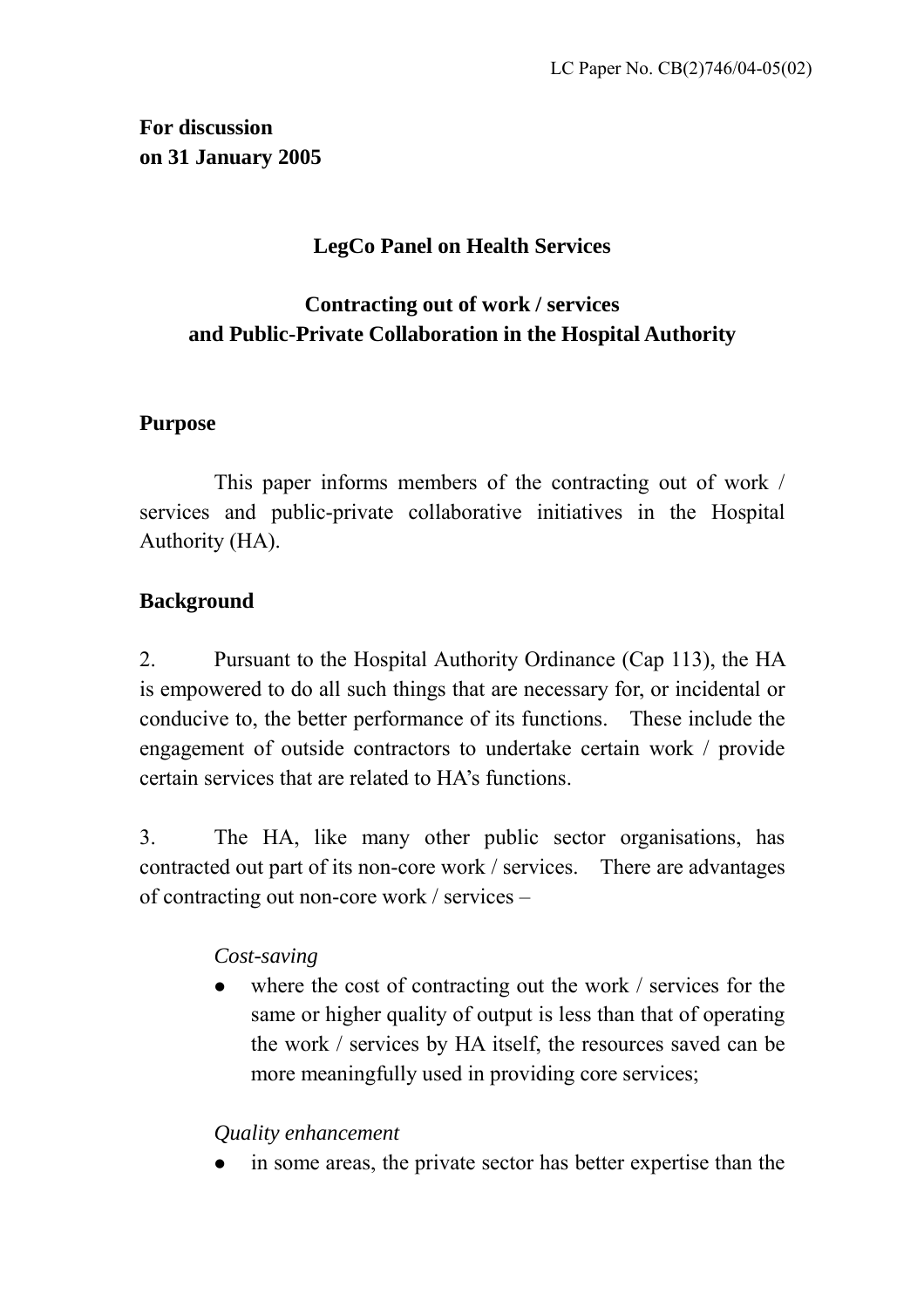**For discussion on 31 January 2005**

## **LegCo Panel on Health Services**

# **Contracting out of work / services and Public-Private Collaboration in the Hospital Authority**

### **Purpose**

This paper informs members of the contracting out of work / services and public-private collaborative initiatives in the Hospital Authority (HA).

## **Background**

2. Pursuant to the Hospital Authority Ordinance (Cap 113), the HA is empowered to do all such things that are necessary for, or incidental or conducive to, the better performance of its functions. These include the engagement of outside contractors to undertake certain work / provide certain services that are related to HA's functions.

3. The HA, like many other public sector organisations, has contracted out part of its non-core work / services. There are advantages of contracting out non-core work / services –

## *Cost-saving*

where the cost of contracting out the work / services for the same or higher quality of output is less than that of operating the work / services by HA itself, the resources saved can be more meaningfully used in providing core services;

### *Quality enhancement*

in some areas, the private sector has better expertise than the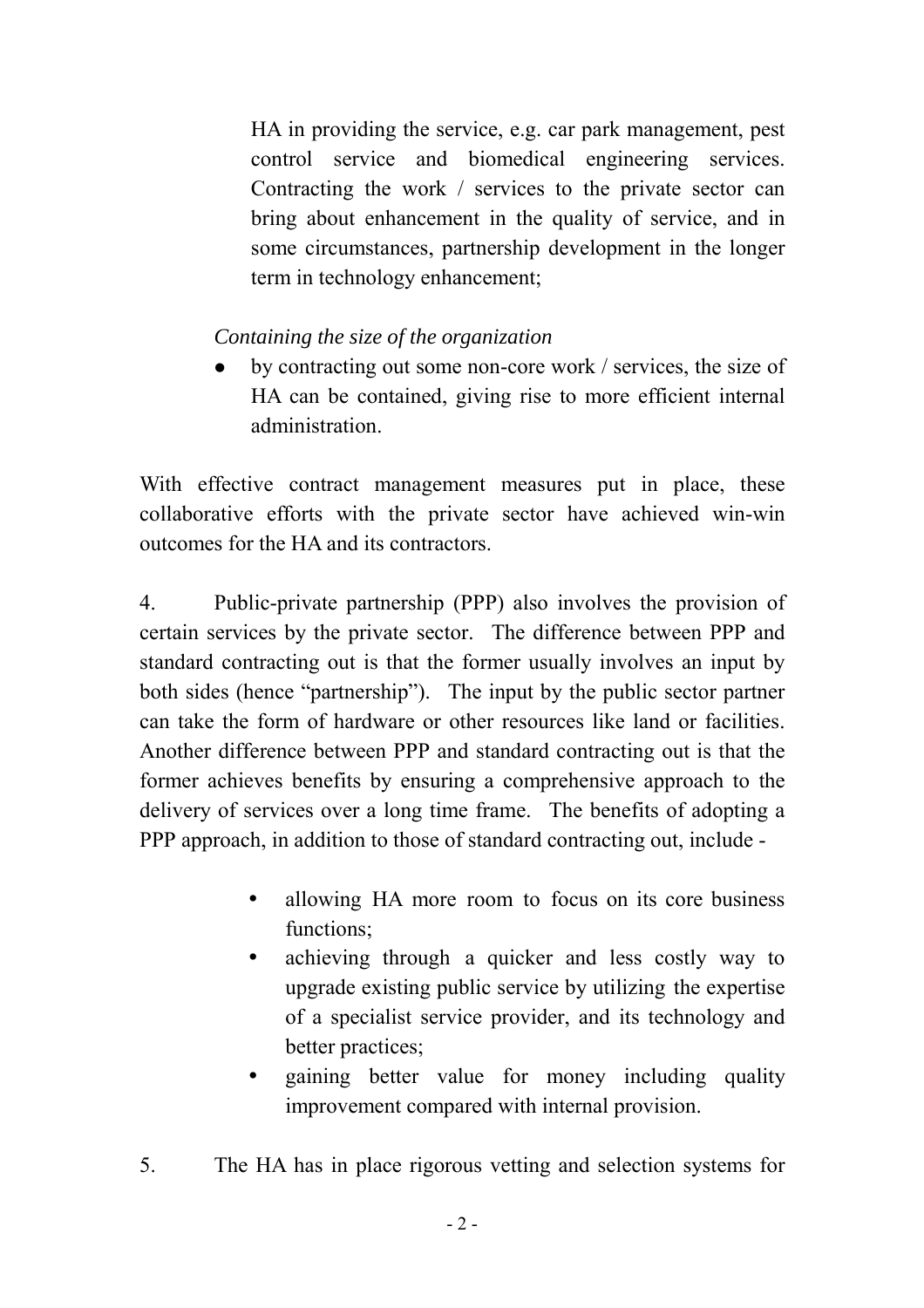HA in providing the service, e.g. car park management, pest control service and biomedical engineering services. Contracting the work / services to the private sector can bring about enhancement in the quality of service, and in some circumstances, partnership development in the longer term in technology enhancement;

*Containing the size of the organization*

by contracting out some non-core work / services, the size of HA can be contained, giving rise to more efficient internal administration.

With effective contract management measures put in place, these collaborative efforts with the private sector have achieved win-win outcomes for the HA and its contractors.

4. Public-private partnership (PPP) also involves the provision of certain services by the private sector. The difference between PPP and standard contracting out is that the former usually involves an input by both sides (hence "partnership"). The input by the public sector partner can take the form of hardware or other resources like land or facilities. Another difference between PPP and standard contracting out is that the former achieves benefits by ensuring a comprehensive approach to the delivery of services over a long time frame. The benefits of adopting a PPP approach, in addition to those of standard contracting out, include -

- allowing HA more room to focus on its core business functions;
- achieving through a quicker and less costly way to upgrade existing public service by utilizing the expertise of a specialist service provider, and its technology and better practices;
- gaining better value for money including quality improvement compared with internal provision.
- 5. The HA has in place rigorous vetting and selection systems for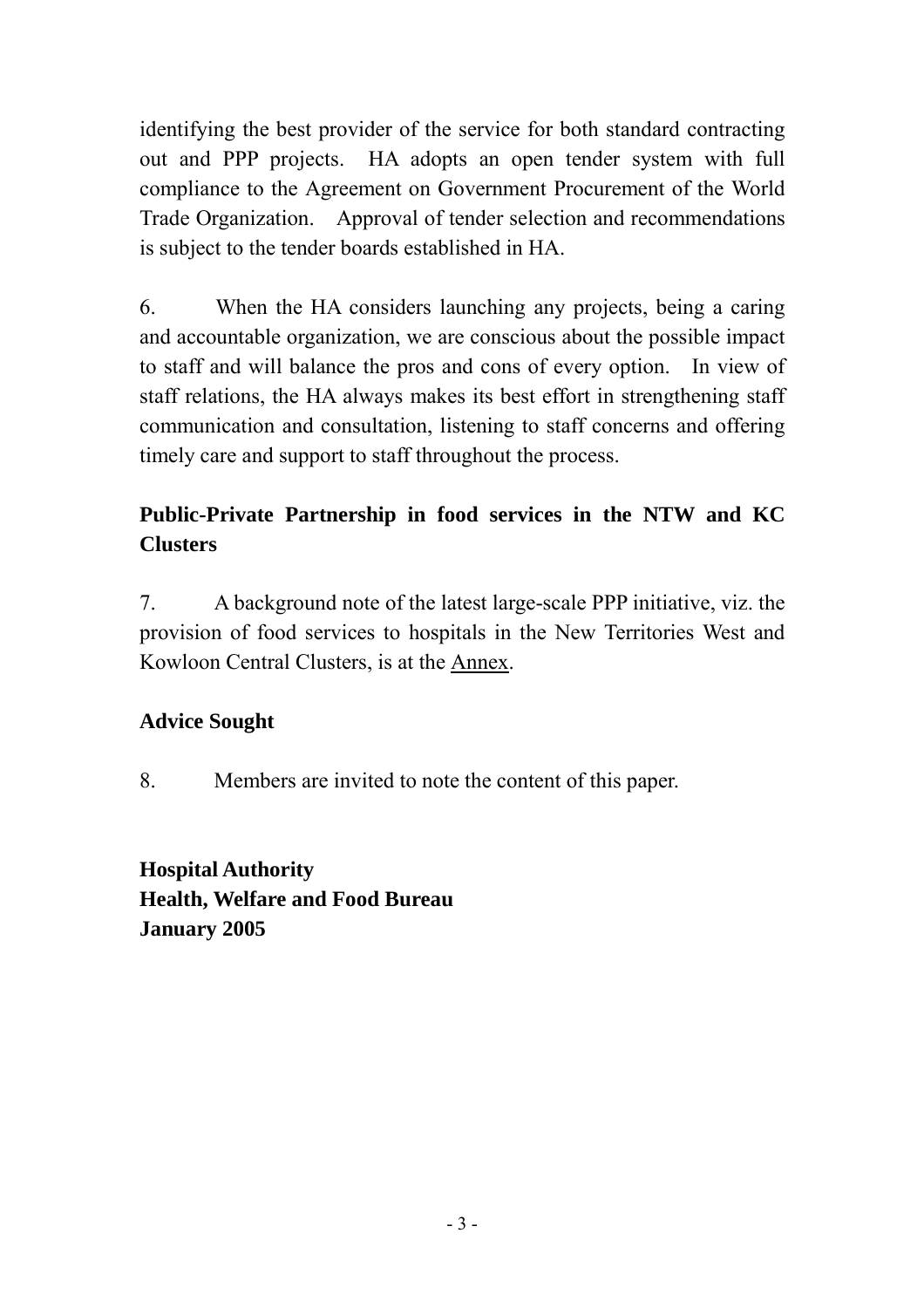identifying the best provider of the service for both standard contracting out and PPP projects. HA adopts an open tender system with full compliance to the Agreement on Government Procurement of the World Trade Organization. Approval of tender selection and recommendations is subject to the tender boards established in HA.

6. When the HA considers launching any projects, being a caring and accountable organization, we are conscious about the possible impact to staff and will balance the pros and cons of every option. In view of staff relations, the HA always makes its best effort in strengthening staff communication and consultation, listening to staff concerns and offering timely care and support to staff throughout the process.

# **Public-Private Partnership in food services in the NTW and KC Clusters**

7. A background note of the latest large-scale PPP initiative, viz. the provision of food services to hospitals in the New Territories West and Kowloon Central Clusters, is at the Annex.

## **Advice Sought**

8. Members are invited to note the content of this paper.

**Hospital Authority Health, Welfare and Food Bureau January 2005**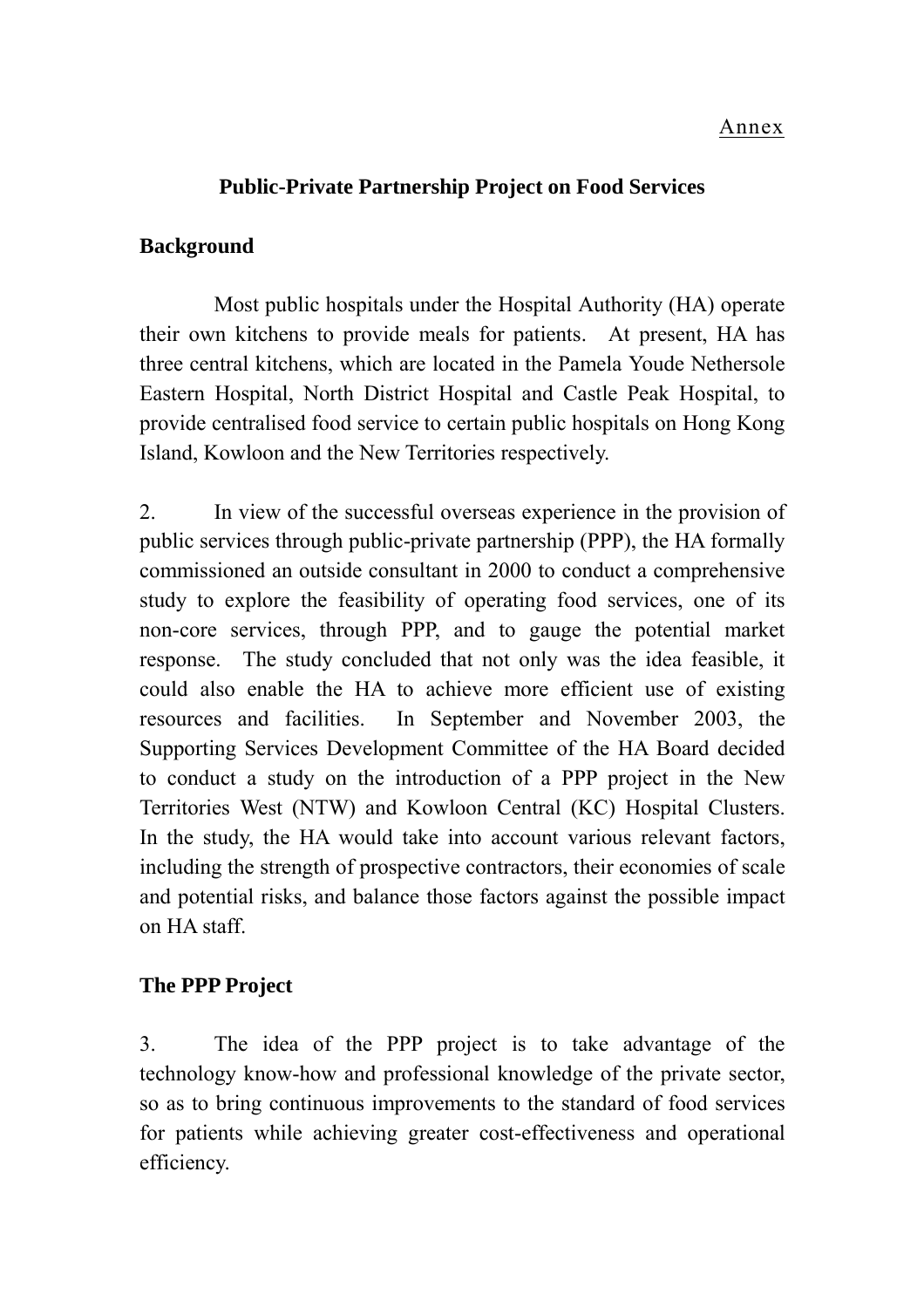#### Annex

#### **Public-Private Partnership Project on Food Services**

#### **Background**

Most public hospitals under the Hospital Authority (HA) operate their own kitchens to provide meals for patients. At present, HA has three central kitchens, which are located in the Pamela Youde Nethersole Eastern Hospital, North District Hospital and Castle Peak Hospital, to provide centralised food service to certain public hospitals on Hong Kong Island, Kowloon and the New Territories respectively.

2. In view of the successful overseas experience in the provision of public services through public-private partnership (PPP), the HA formally commissioned an outside consultant in 2000 to conduct a comprehensive study to explore the feasibility of operating food services, one of its non-core services, through PPP, and to gauge the potential market response. The study concluded that not only was the idea feasible, it could also enable the HA to achieve more efficient use of existing resources and facilities. In September and November 2003, the Supporting Services Development Committee of the HA Board decided to conduct a study on the introduction of a PPP project in the New Territories West (NTW) and Kowloon Central (KC) Hospital Clusters. In the study, the HA would take into account various relevant factors, including the strength of prospective contractors, their economies of scale and potential risks, and balance those factors against the possible impact on HA staff.

### **The PPP Project**

3. The idea of the PPP project is to take advantage of the technology know-how and professional knowledge of the private sector, so as to bring continuous improvements to the standard of food services for patients while achieving greater cost-effectiveness and operational efficiency.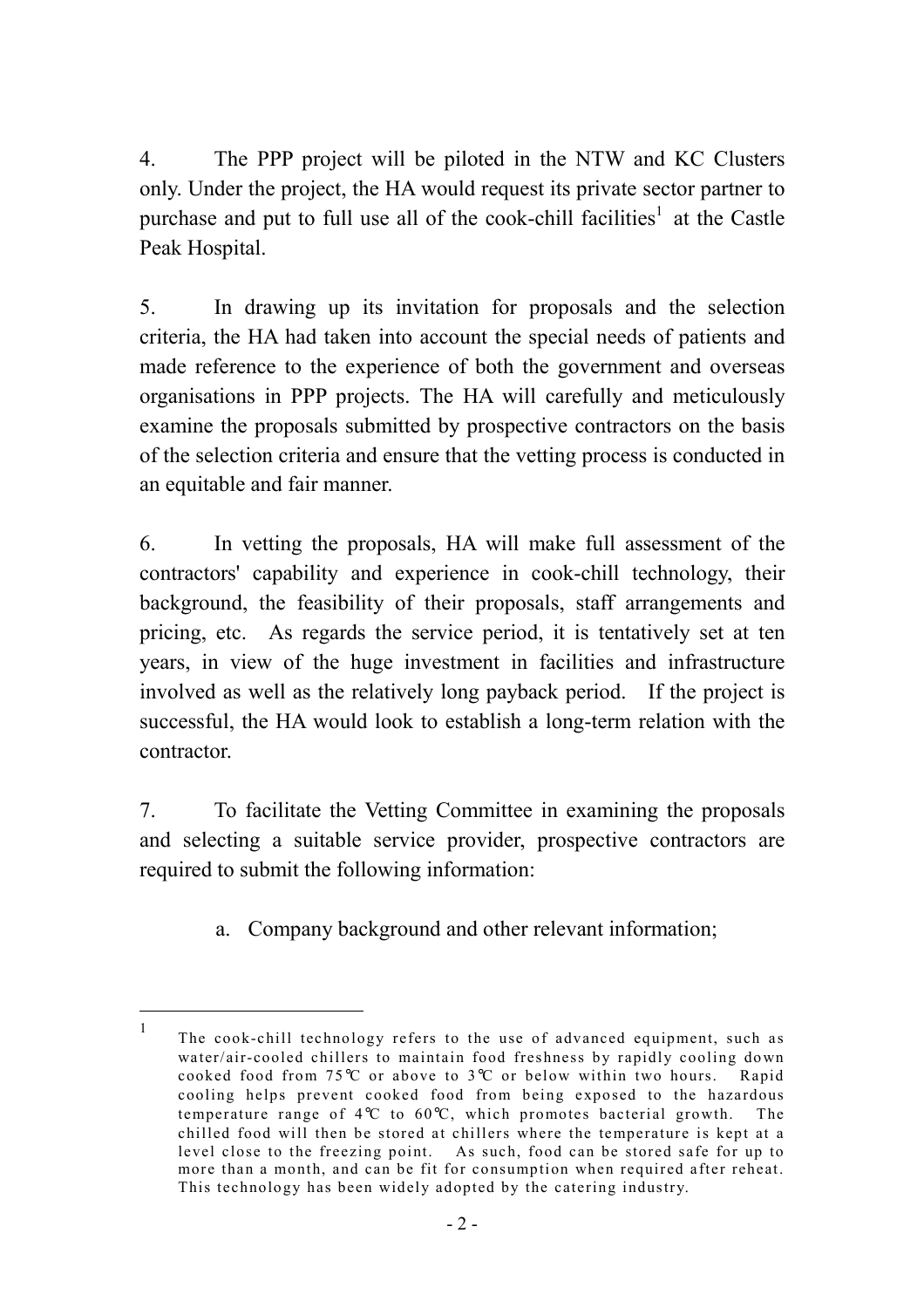4. The PPP project will be piloted in the NTW and KC Clusters only. Under the project, the HA would request its private sector partner to purchase and put to full use all of the cook-chill facilities<sup>[1](#page-4-0)</sup> at the Castle Peak Hospital.

5. In drawing up its invitation for proposals and the selection criteria, the HA had taken into account the special needs of patients and made reference to the experience of both the government and overseas organisations in PPP projects. The HA will carefully and meticulously examine the proposals submitted by prospective contractors on the basis of the selection criteria and ensure that the vetting process is conducted in an equitable and fair manner.

6. In vetting the proposals, HA will make full assessment of the contractors' capability and experience in cook-chill technology, their background, the feasibility of their proposals, staff arrangements and pricing, etc. As regards the service period, it is tentatively set at ten years, in view of the huge investment in facilities and infrastructure involved as well as the relatively long payback period. If the project is successful, the HA would look to establish a long-term relation with the contractor.

7. To facilitate the Vetting Committee in examining the proposals and selecting a suitable service provider, prospective contractors are required to submit the following information:

a. Company background and other relevant information;

 $\overline{a}$ 

<span id="page-4-0"></span><sup>1</sup> The cook-chill technology refers to the use of advanced equipment, such as water/air-cooled chillers to maintain food freshness by rapidly cooling down cooked food from 75°C or above to 3°C or below within two hours. Rapid cooling helps prevent cooked food from being exposed to the hazardous temperature range of  $4^{\circ}C$  to  $60^{\circ}C$ , which promotes bacterial growth. The chilled food will then be stored at chillers where the temperature is kept at a level close to the freezing point. As such, food can be stored safe for up to more than a month, and can be fit for consumption when required after reheat. This technology has been widely adopted by the catering industry.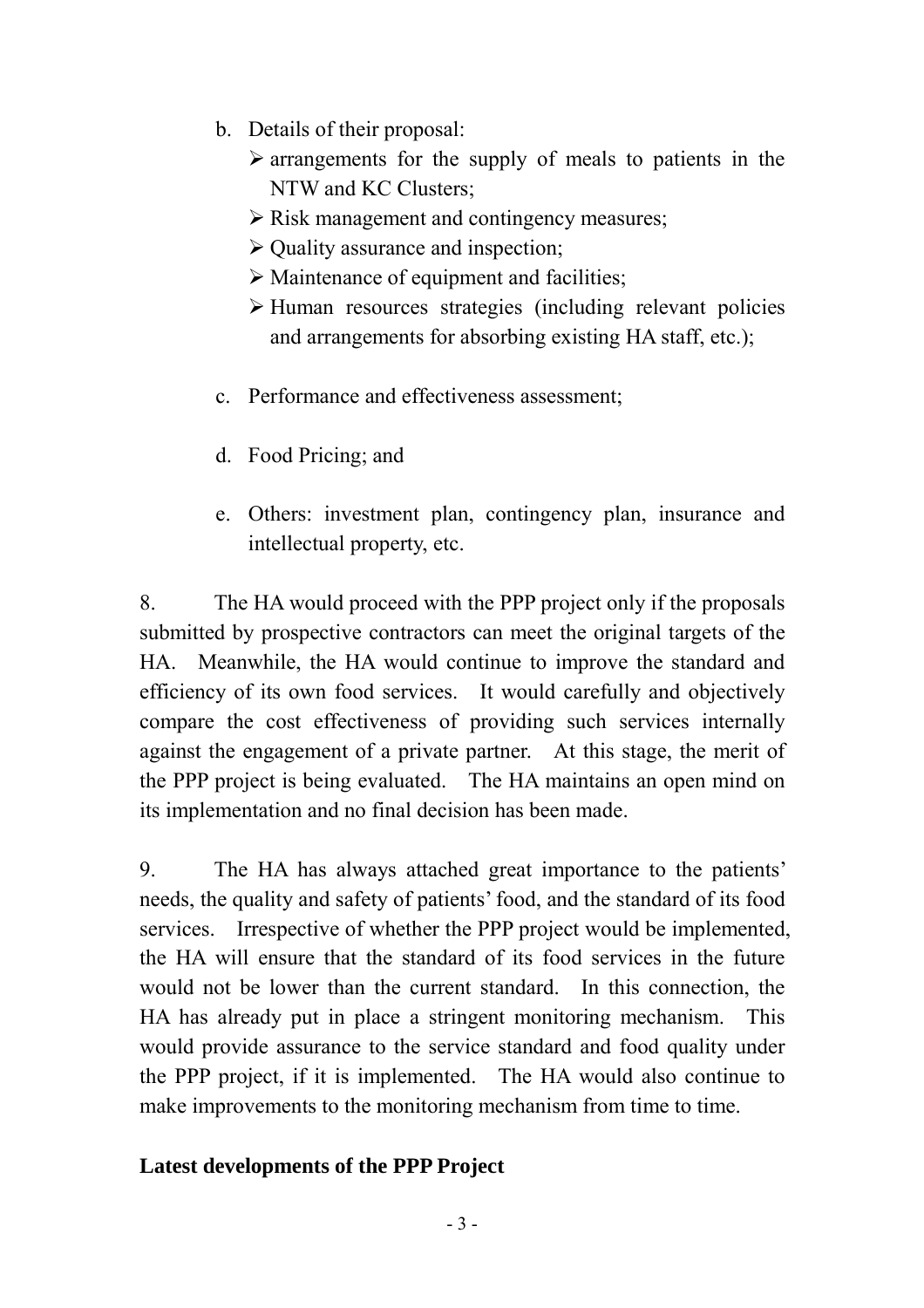- b. Details of their proposal:
	- $\triangleright$  arrangements for the supply of meals to patients in the NTW and KC Clusters;
	- ¾ Risk management and contingency measures;
	- $\triangleright$  Quality assurance and inspection;
	- $\triangleright$  Maintenance of equipment and facilities;
	- $\triangleright$  Human resources strategies (including relevant policies and arrangements for absorbing existing HA staff, etc.);
- c. Performance and effectiveness assessment;
- d. Food Pricing; and
- e. Others: investment plan, contingency plan, insurance and intellectual property, etc.

8. The HA would proceed with the PPP project only if the proposals submitted by prospective contractors can meet the original targets of the HA. Meanwhile, the HA would continue to improve the standard and efficiency of its own food services. It would carefully and objectively compare the cost effectiveness of providing such services internally against the engagement of a private partner. At this stage, the merit of the PPP project is being evaluated. The HA maintains an open mind on its implementation and no final decision has been made.

9. The HA has always attached great importance to the patients' needs, the quality and safety of patients' food, and the standard of its food services. Irrespective of whether the PPP project would be implemented, the HA will ensure that the standard of its food services in the future would not be lower than the current standard. In this connection, the HA has already put in place a stringent monitoring mechanism. This would provide assurance to the service standard and food quality under the PPP project, if it is implemented. The HA would also continue to make improvements to the monitoring mechanism from time to time.

### **Latest developments of the PPP Project**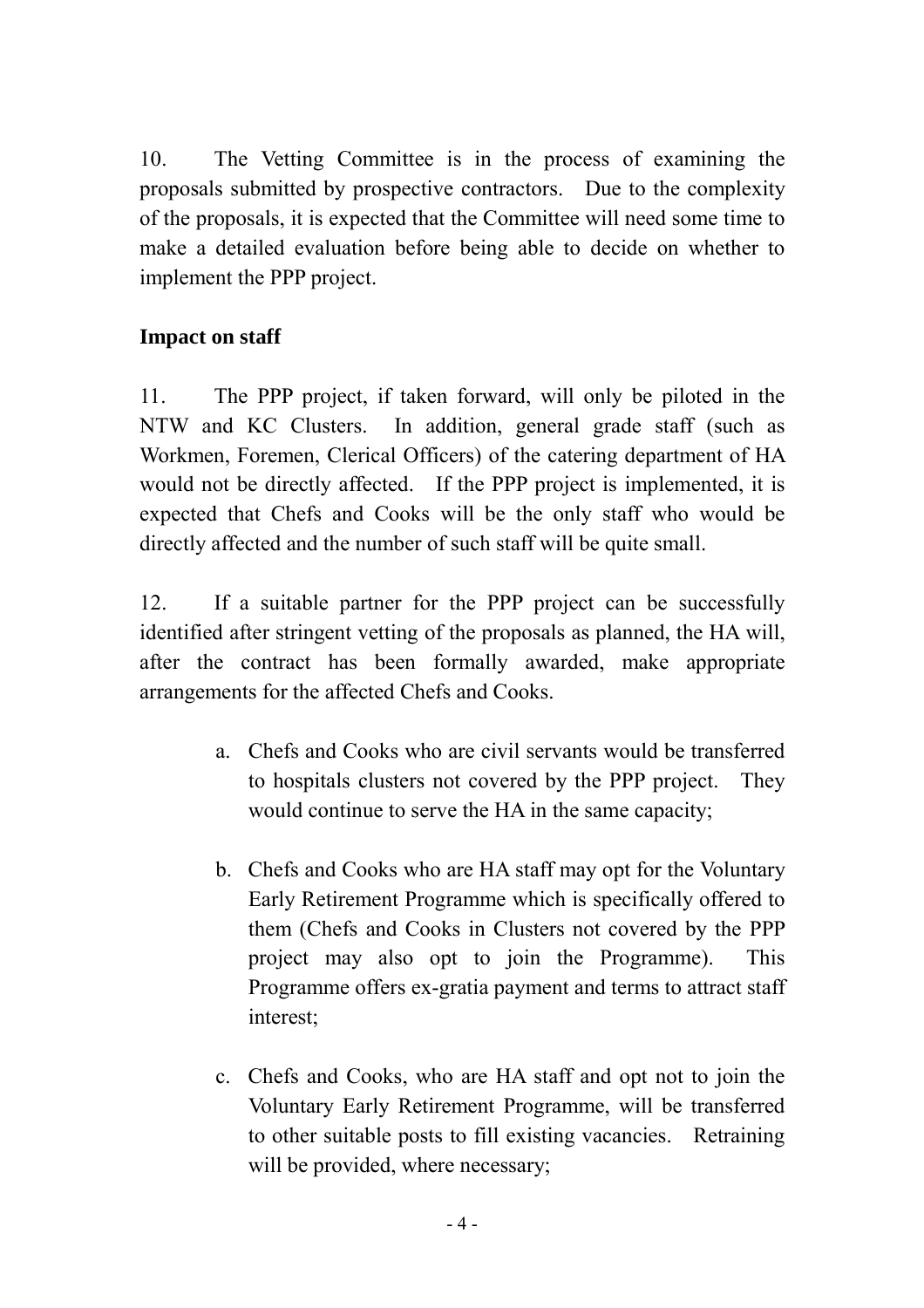10. The Vetting Committee is in the process of examining the proposals submitted by prospective contractors. Due to the complexity of the proposals, it is expected that the Committee will need some time to make a detailed evaluation before being able to decide on whether to implement the PPP project.

### **Impact on staff**

11. The PPP project, if taken forward, will only be piloted in the NTW and KC Clusters. In addition, general grade staff (such as Workmen, Foremen, Clerical Officers) of the catering department of HA would not be directly affected. If the PPP project is implemented, it is expected that Chefs and Cooks will be the only staff who would be directly affected and the number of such staff will be quite small.

12. If a suitable partner for the PPP project can be successfully identified after stringent vetting of the proposals as planned, the HA will, after the contract has been formally awarded, make appropriate arrangements for the affected Chefs and Cooks.

- a. Chefs and Cooks who are civil servants would be transferred to hospitals clusters not covered by the PPP project. They would continue to serve the HA in the same capacity;
- b. Chefs and Cooks who are HA staff may opt for the Voluntary Early Retirement Programme which is specifically offered to them (Chefs and Cooks in Clusters not covered by the PPP project may also opt to join the Programme). This Programme offers ex-gratia payment and terms to attract staff interest;
- c. Chefs and Cooks, who are HA staff and opt not to join the Voluntary Early Retirement Programme, will be transferred to other suitable posts to fill existing vacancies. Retraining will be provided, where necessary;